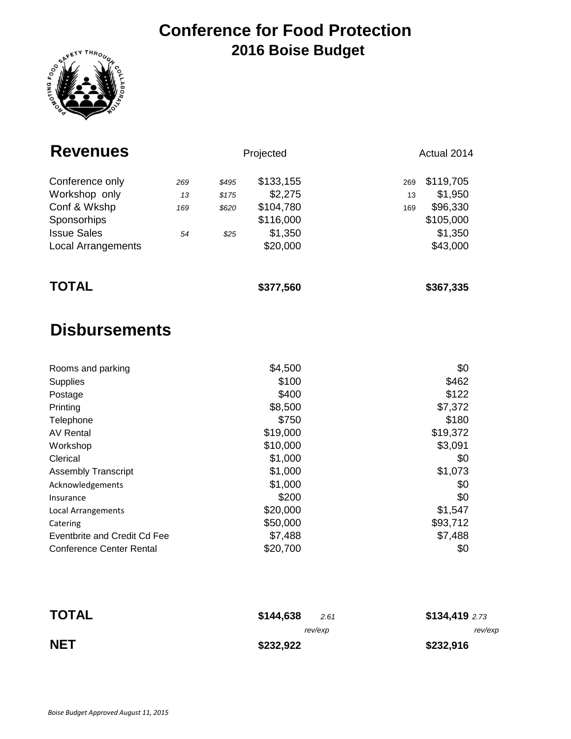### **Conference for Food Protection 2016 Boise Budget**



| <b>Revenues</b>           |     | Projected |           | Actual 2014 |           |  |
|---------------------------|-----|-----------|-----------|-------------|-----------|--|
| Conference only           | 269 | \$495     | \$133,155 | 269         | \$119,705 |  |
| Workshop only             | 13  | \$175     | \$2,275   | 13          | \$1,950   |  |
| Conf & Wkshp              | 169 | \$620     | \$104,780 | 169         | \$96,330  |  |
| Sponsorhips               |     |           | \$116,000 |             | \$105,000 |  |
| <b>Issue Sales</b>        | 54  | \$25      | \$1,350   |             | \$1,350   |  |
| <b>Local Arrangements</b> |     |           | \$20,000  |             | \$43,000  |  |
| <b>TOTAL</b>              |     |           | \$377,560 |             | \$367,335 |  |

## **Disbursements**

| Rooms and parking               | \$4,500  | \$0      |
|---------------------------------|----------|----------|
| <b>Supplies</b>                 | \$100    | \$462    |
| Postage                         | \$400    | \$122    |
| Printing                        | \$8,500  | \$7,372  |
| Telephone                       | \$750    | \$180    |
| AV Rental                       | \$19,000 | \$19,372 |
| Workshop                        | \$10,000 | \$3,091  |
| Clerical                        | \$1,000  | \$0      |
| <b>Assembly Transcript</b>      | \$1,000  | \$1,073  |
| Acknowledgements                | \$1,000  | \$0      |
| Insurance                       | \$200    | \$0      |
| Local Arrangements              | \$20,000 | \$1,547  |
| Catering                        | \$50,000 | \$93,712 |
| Eventbrite and Credit Cd Fee    | \$7,488  | \$7,488  |
| <b>Conference Center Rental</b> | \$20,700 | \$0      |

| <b>TOTAL</b> | \$134,4192.73<br>\$144,638<br>2.61 |           |
|--------------|------------------------------------|-----------|
|              | rev/exp                            | rev/exp   |
| <b>NET</b>   | \$232,922                          | \$232,916 |